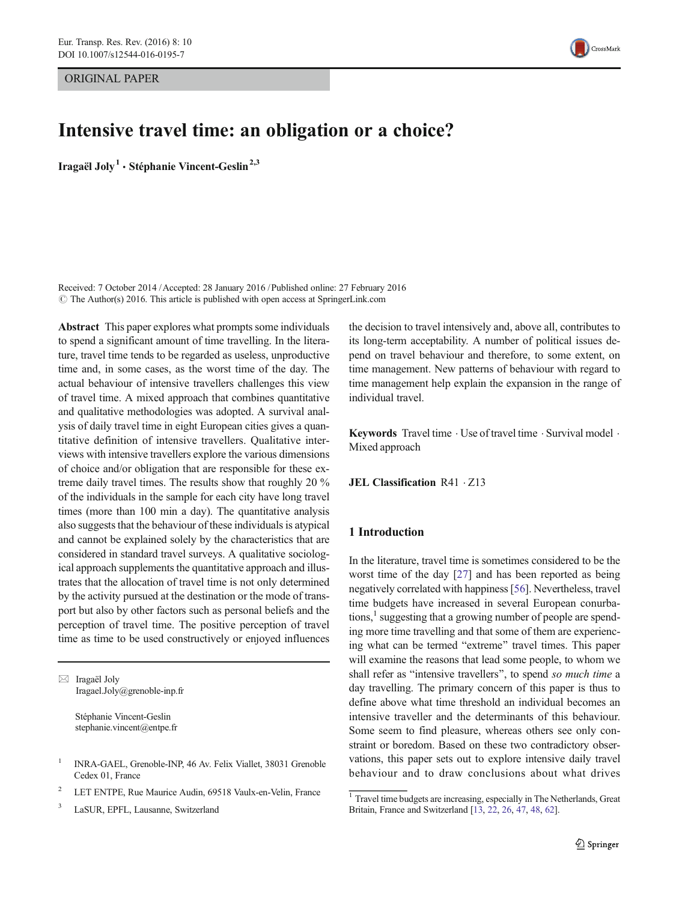ORIGINAL PAPER



# Intensive travel time: an obligation or a choice?

Iragaël Joly<sup>1</sup> · Stéphanie Vincent-Geslin<sup>2,3</sup>

Received: 7 October 2014 /Accepted: 28 January 2016 /Published online: 27 February 2016  $\odot$  The Author(s) 2016. This article is published with open access at SpringerLink.com

Abstract This paper explores what prompts some individuals to spend a significant amount of time travelling. In the literature, travel time tends to be regarded as useless, unproductive time and, in some cases, as the worst time of the day. The actual behaviour of intensive travellers challenges this view of travel time. A mixed approach that combines quantitative and qualitative methodologies was adopted. A survival analysis of daily travel time in eight European cities gives a quantitative definition of intensive travellers. Qualitative interviews with intensive travellers explore the various dimensions of choice and/or obligation that are responsible for these extreme daily travel times. The results show that roughly 20 % of the individuals in the sample for each city have long travel times (more than 100 min a day). The quantitative analysis also suggests that the behaviour of these individuals is atypical and cannot be explained solely by the characteristics that are considered in standard travel surveys. A qualitative sociological approach supplements the quantitative approach and illustrates that the allocation of travel time is not only determined by the activity pursued at the destination or the mode of transport but also by other factors such as personal beliefs and the perception of travel time. The positive perception of travel time as time to be used constructively or enjoyed influences

 $\boxtimes$  Iragaël Joly Iragael.Joly@grenoble-inp.fr

> Stéphanie Vincent-Geslin stephanie.vincent@entpe.fr

- <sup>1</sup> INRA-GAEL, Grenoble-INP, 46 Av. Felix Viallet, 38031 Grenoble Cedex 01, France
- LET ENTPE, Rue Maurice Audin, 69518 Vaulx-en-Velin, France
- <sup>3</sup> LaSUR, EPFL, Lausanne, Switzerland

the decision to travel intensively and, above all, contributes to its long-term acceptability. A number of political issues depend on travel behaviour and therefore, to some extent, on time management. New patterns of behaviour with regard to time management help explain the expansion in the range of individual travel.

Keywords Travel time . Use of travel time . Survival model . Mixed approach

JEL Classification R41 . Z13

## 1 Introduction

In the literature, travel time is sometimes considered to be the worst time of the day [[27\]](#page-12-0) and has been reported as being negatively correlated with happiness [\[56\]](#page-13-0). Nevertheless, travel time budgets have increased in several European conurbations, $<sup>1</sup>$  suggesting that a growing number of people are spend-</sup> ing more time travelling and that some of them are experiencing what can be termed "extreme" travel times. This paper will examine the reasons that lead some people, to whom we shall refer as "intensive travellers", to spend so much time a day travelling. The primary concern of this paper is thus to define above what time threshold an individual becomes an intensive traveller and the determinants of this behaviour. Some seem to find pleasure, whereas others see only constraint or boredom. Based on these two contradictory observations, this paper sets out to explore intensive daily travel behaviour and to draw conclusions about what drives

<sup>&</sup>lt;sup>1</sup> Travel time budgets are increasing, especially in The Netherlands, Great Britain, France and Switzerland [\[13,](#page-12-0) [22](#page-12-0), [26,](#page-12-0) [47](#page-12-0), [48,](#page-12-0) [62](#page-13-0)].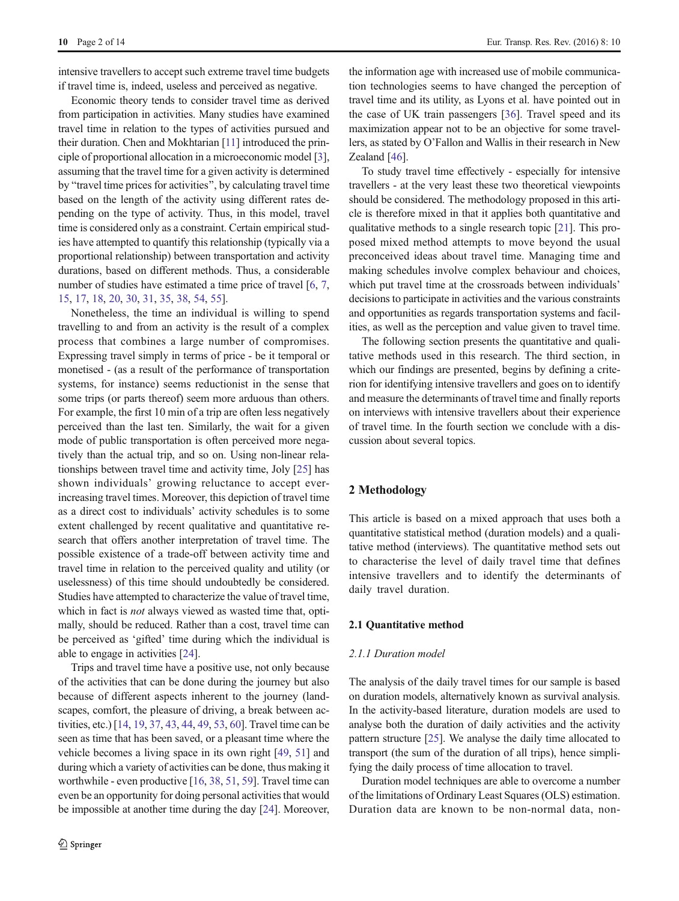intensive travellers to accept such extreme travel time budgets if travel time is, indeed, useless and perceived as negative.

Economic theory tends to consider travel time as derived from participation in activities. Many studies have examined travel time in relation to the types of activities pursued and their duration. Chen and Mokhtarian [[11](#page-12-0)] introduced the principle of proportional allocation in a microeconomic model [[3\]](#page-11-0), assuming that the travel time for a given activity is determined by "travel time prices for activities", by calculating travel time based on the length of the activity using different rates depending on the type of activity. Thus, in this model, travel time is considered only as a constraint. Certain empirical studies have attempted to quantify this relationship (typically via a proportional relationship) between transportation and activity durations, based on different methods. Thus, a considerable number of studies have estimated a time price of travel [[6,](#page-12-0) [7,](#page-12-0) [15,](#page-12-0) [17,](#page-12-0) [18,](#page-12-0) [20](#page-12-0), [30](#page-12-0), [31](#page-12-0), [35,](#page-12-0) [38,](#page-12-0) [54,](#page-13-0) [55\]](#page-13-0).

Nonetheless, the time an individual is willing to spend travelling to and from an activity is the result of a complex process that combines a large number of compromises. Expressing travel simply in terms of price - be it temporal or monetised - (as a result of the performance of transportation systems, for instance) seems reductionist in the sense that some trips (or parts thereof) seem more arduous than others. For example, the first 10 min of a trip are often less negatively perceived than the last ten. Similarly, the wait for a given mode of public transportation is often perceived more negatively than the actual trip, and so on. Using non-linear relationships between travel time and activity time, Joly [\[25](#page-12-0)] has shown individuals' growing reluctance to accept everincreasing travel times. Moreover, this depiction of travel time as a direct cost to individuals' activity schedules is to some extent challenged by recent qualitative and quantitative research that offers another interpretation of travel time. The possible existence of a trade-off between activity time and travel time in relation to the perceived quality and utility (or uselessness) of this time should undoubtedly be considered. Studies have attempted to characterize the value of travel time, which in fact is *not* always viewed as wasted time that, optimally, should be reduced. Rather than a cost, travel time can be perceived as 'gifted' time during which the individual is able to engage in activities [[24](#page-12-0)].

Trips and travel time have a positive use, not only because of the activities that can be done during the journey but also because of different aspects inherent to the journey (landscapes, comfort, the pleasure of driving, a break between activities, etc.) [[14,](#page-12-0) [19,](#page-12-0) [37,](#page-12-0) [43,](#page-12-0) [44](#page-12-0), [49](#page-12-0), [53](#page-13-0), [60](#page-13-0)]. Travel time can be seen as time that has been saved, or a pleasant time where the vehicle becomes a living space in its own right [[49](#page-12-0), [51\]](#page-13-0) and during which a variety of activities can be done, thus making it worthwhile - even productive [\[16](#page-12-0), [38](#page-12-0), [51,](#page-13-0) [59\]](#page-13-0). Travel time can even be an opportunity for doing personal activities that would be impossible at another time during the day [[24\]](#page-12-0). Moreover,

the information age with increased use of mobile communication technologies seems to have changed the perception of travel time and its utility, as Lyons et al. have pointed out in the case of UK train passengers [[36\]](#page-12-0). Travel speed and its maximization appear not to be an objective for some travellers, as stated by O'Fallon and Wallis in their research in New Zealand [\[46\]](#page-12-0).

To study travel time effectively - especially for intensive travellers - at the very least these two theoretical viewpoints should be considered. The methodology proposed in this article is therefore mixed in that it applies both quantitative and qualitative methods to a single research topic [[21](#page-12-0)]. This proposed mixed method attempts to move beyond the usual preconceived ideas about travel time. Managing time and making schedules involve complex behaviour and choices, which put travel time at the crossroads between individuals' decisions to participate in activities and the various constraints and opportunities as regards transportation systems and facilities, as well as the perception and value given to travel time.

The following section presents the quantitative and qualitative methods used in this research. The third section, in which our findings are presented, begins by defining a criterion for identifying intensive travellers and goes on to identify and measure the determinants of travel time and finally reports on interviews with intensive travellers about their experience of travel time. In the fourth section we conclude with a discussion about several topics.

## 2 Methodology

This article is based on a mixed approach that uses both a quantitative statistical method (duration models) and a qualitative method (interviews). The quantitative method sets out to characterise the level of daily travel time that defines intensive travellers and to identify the determinants of daily travel duration.

#### 2.1 Quantitative method

#### 2.1.1 Duration model

The analysis of the daily travel times for our sample is based on duration models, alternatively known as survival analysis. In the activity-based literature, duration models are used to analyse both the duration of daily activities and the activity pattern structure [[25](#page-12-0)]. We analyse the daily time allocated to transport (the sum of the duration of all trips), hence simplifying the daily process of time allocation to travel.

Duration model techniques are able to overcome a number of the limitations of Ordinary Least Squares (OLS) estimation. Duration data are known to be non-normal data, non-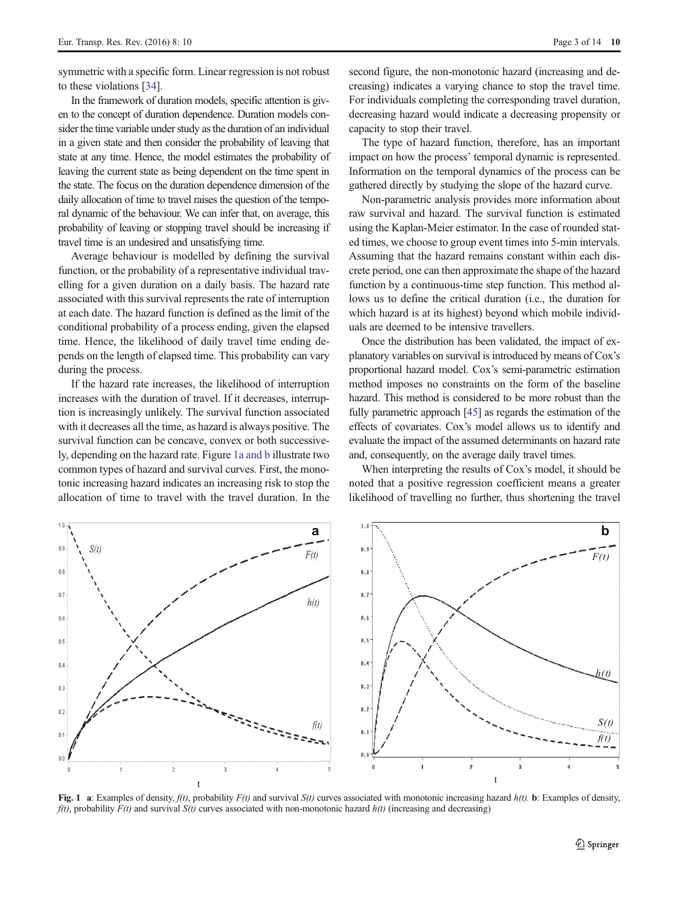symmetric with a specific form. Linear regression is not robust to these violations [[34](#page-12-0)].

In the framework of duration models, specific attention is given to the concept of duration dependence. Duration models consider the time variable under study as the duration of an individual in a given state and then consider the probability of leaving that state at any time. Hence, the model estimates the probability of leaving the current state as being dependent on the time spent in the state. The focus on the duration dependence dimension of the daily allocation of time to travel raises the question of the temporal dynamic of the behaviour. We can infer that, on average, this probability of leaving or stopping travel should be increasing if travel time is an undesired and unsatisfying time.

Average behaviour is modelled by defining the survival function, or the probability of a representative individual travelling for a given duration on a daily basis. The hazard rate associated with this survival represents the rate of interruption at each date. The hazard function is defined as the limit of the conditional probability of a process ending, given the elapsed time. Hence, the likelihood of daily travel time ending depends on the length of elapsed time. This probability can vary during the process.

If the hazard rate increases, the likelihood of interruption increases with the duration of travel. If it decreases, interruption is increasingly unlikely. The survival function associated with it decreases all the time, as hazard is always positive. The survival function can be concave, convex or both successively, depending on the hazard rate. Figure 1a and b illustrate two common types of hazard and survival curves. First, the monotonic increasing hazard indicates an increasing risk to stop the allocation of time to travel with the travel duration. In the second figure, the non-monotonic hazard (increasing and decreasing) indicates a varying chance to stop the travel time. For individuals completing the corresponding travel duration, decreasing hazard would indicate a decreasing propensity or capacity to stop their travel.

The type of hazard function, therefore, has an important impact on how the process' temporal dynamic is represented. Information on the temporal dynamics of the process can be gathered directly by studying the slope of the hazard curve.

Non-parametric analysis provides more information about raw survival and hazard. The survival function is estimated using the Kaplan-Meier estimator. In the case of rounded stated times, we choose to group event times into 5-min intervals. Assuming that the hazard remains constant within each discrete period, one can then approximate the shape of the hazard function by a continuous-time step function. This method allows us to define the critical duration (i.e., the duration for which hazard is at its highest) beyond which mobile individuals are deemed to be intensive travellers.

Once the distribution has been validated, the impact of explanatory variables on survival is introduced by means of Cox's proportional hazard model. Cox's semi-parametric estimation method imposes no constraints on the form of the baseline hazard. This method is considered to be more robust than the fully parametric approach [[45](#page-12-0)] as regards the estimation of the effects of covariates. Cox's model allows us to identify and evaluate the impact of the assumed determinants on hazard rate and, consequently, on the average daily travel times.

When interpreting the results of Cox's model, it should be noted that a positive regression coefficient means a greater likelihood of travelling no further, thus shortening the travel



Fig. 1 a: Examples of density,  $f(t)$ , probability  $F(t)$  and survival  $S(t)$  curves associated with monotonic increasing hazard  $h(t)$ . b: Examples of density,  $f(t)$ , probability  $F(t)$  and survival  $S(t)$  curves associated with non-monotonic hazard  $h(t)$  (increasing and decreasing)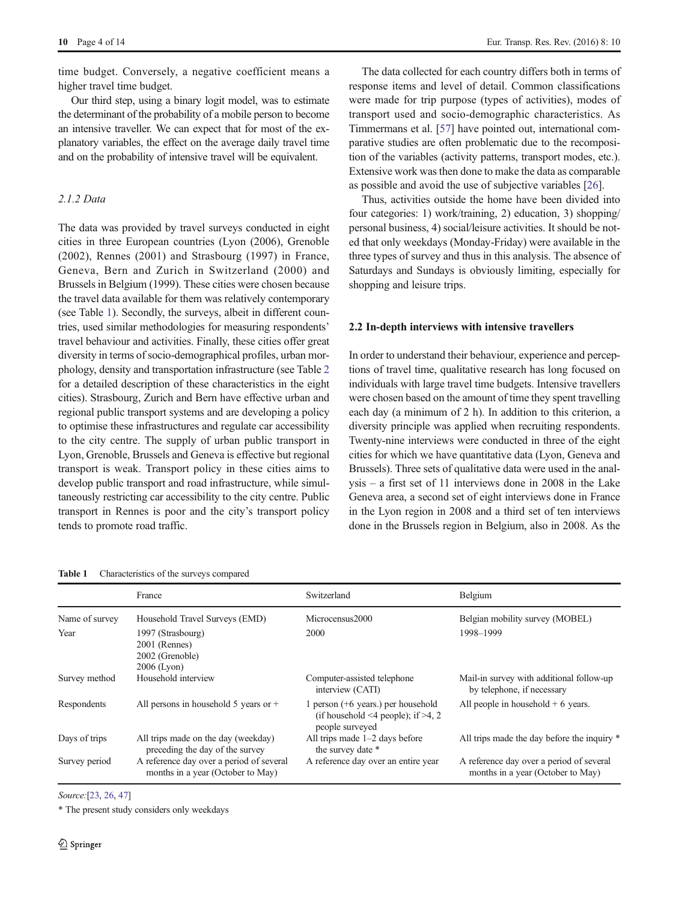time budget. Conversely, a negative coefficient means a higher travel time budget.

Our third step, using a binary logit model, was to estimate the determinant of the probability of a mobile person to become an intensive traveller. We can expect that for most of the explanatory variables, the effect on the average daily travel time and on the probability of intensive travel will be equivalent.

# 2.1.2 Data

The data was provided by travel surveys conducted in eight cities in three European countries (Lyon (2006), Grenoble (2002), Rennes (2001) and Strasbourg (1997) in France, Geneva, Bern and Zurich in Switzerland (2000) and Brussels in Belgium (1999). These cities were chosen because the travel data available for them was relatively contemporary (see Table 1). Secondly, the surveys, albeit in different countries, used similar methodologies for measuring respondents' travel behaviour and activities. Finally, these cities offer great diversity in terms of socio-demographical profiles, urban morphology, density and transportation infrastructure (see Table [2](#page-4-0) for a detailed description of these characteristics in the eight cities). Strasbourg, Zurich and Bern have effective urban and regional public transport systems and are developing a policy to optimise these infrastructures and regulate car accessibility to the city centre. The supply of urban public transport in Lyon, Grenoble, Brussels and Geneva is effective but regional transport is weak. Transport policy in these cities aims to develop public transport and road infrastructure, while simultaneously restricting car accessibility to the city centre. Public transport in Rennes is poor and the city's transport policy tends to promote road traffic.

The data collected for each country differs both in terms of response items and level of detail. Common classifications were made for trip purpose (types of activities), modes of transport used and socio-demographic characteristics. As Timmermans et al. [[57](#page-13-0)] have pointed out, international comparative studies are often problematic due to the recomposition of the variables (activity patterns, transport modes, etc.). Extensive work was then done to make the data as comparable as possible and avoid the use of subjective variables [\[26\]](#page-12-0).

Thus, activities outside the home have been divided into four categories: 1) work/training, 2) education, 3) shopping/ personal business, 4) social/leisure activities. It should be noted that only weekdays (Monday-Friday) were available in the three types of survey and thus in this analysis. The absence of Saturdays and Sundays is obviously limiting, especially for shopping and leisure trips.

#### 2.2 In-depth interviews with intensive travellers

In order to understand their behaviour, experience and perceptions of travel time, qualitative research has long focused on individuals with large travel time budgets. Intensive travellers were chosen based on the amount of time they spent travelling each day (a minimum of 2 h). In addition to this criterion, a diversity principle was applied when recruiting respondents. Twenty-nine interviews were conducted in three of the eight cities for which we have quantitative data (Lyon, Geneva and Brussels). Three sets of qualitative data were used in the analysis – a first set of 11 interviews done in 2008 in the Lake Geneva area, a second set of eight interviews done in France in the Lyon region in 2008 and a third set of ten interviews done in the Brussels region in Belgium, also in 2008. As the

#### Table 1 Characteristics of the surveys compared

|                | France                                                                        | Switzerland                                                                                             | Belgium                                                                       |
|----------------|-------------------------------------------------------------------------------|---------------------------------------------------------------------------------------------------------|-------------------------------------------------------------------------------|
| Name of survey | Household Travel Surveys (EMD)                                                | Microcensus2000                                                                                         | Belgian mobility survey (MOBEL)                                               |
| Year           | 1997 (Strasbourg)<br>$2001$ (Rennes)<br>2002 (Grenoble)<br>$2006$ (Lyon)      | 2000                                                                                                    | 1998-1999                                                                     |
| Survey method  | Household interview                                                           | Computer-assisted telephone<br>interview (CATI)                                                         | Mail-in survey with additional follow-up<br>by telephone, if necessary        |
| Respondents    | All persons in household 5 years or $+$                                       | 1 person (+6 years) per household<br>(if household $\leq 4$ people); if $\geq 4$ , 2<br>people surveyed | All people in household $+6$ years.                                           |
| Days of trips  | All trips made on the day (weekday)<br>preceding the day of the survey        | All trips made $1-2$ days before<br>the survey date *                                                   | All trips made the day before the inquiry *                                   |
| Survey period  | A reference day over a period of several<br>months in a year (October to May) | A reference day over an entire year                                                                     | A reference day over a period of several<br>months in a year (October to May) |

Source:[[23](#page-12-0), [26,](#page-12-0) [47](#page-12-0)]

\* The present study considers only weekdays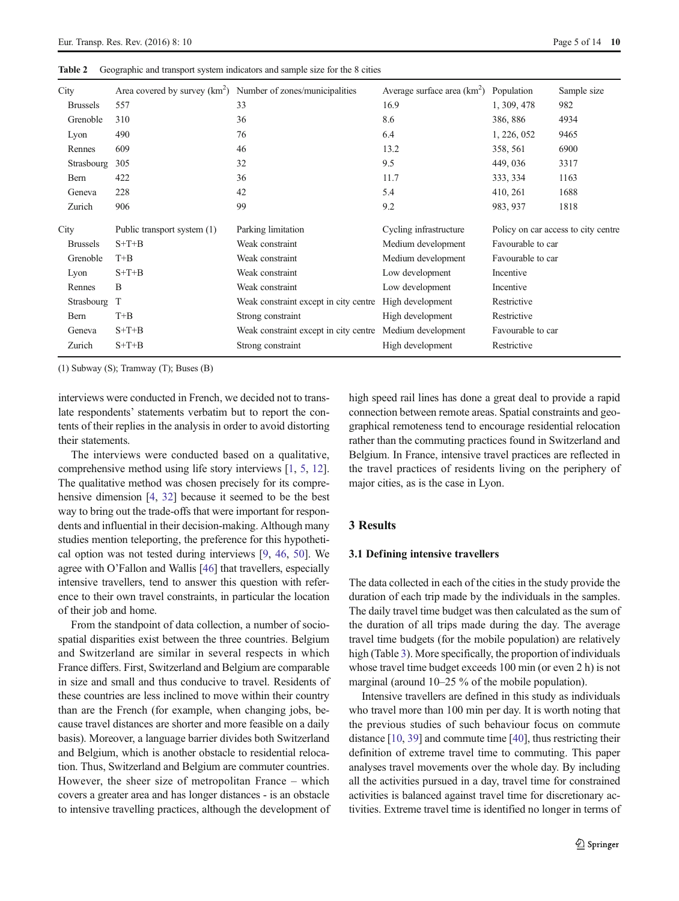| City            |                             | Area covered by survey $(km^2)$ Number of zones/municipalities | Average surface area $(km2)$ Population |                   | Sample size                         |
|-----------------|-----------------------------|----------------------------------------------------------------|-----------------------------------------|-------------------|-------------------------------------|
| <b>Brussels</b> | 557                         | 33                                                             | 16.9                                    | 1, 309, 478       | 982                                 |
| Grenoble        | 310                         | 36                                                             | 8.6                                     | 386, 886          | 4934                                |
| Lyon            | 490                         | 76                                                             | 6.4                                     | 1, 226, 052       | 9465                                |
| Rennes          | 609                         | 46                                                             | 13.2                                    | 358, 561          | 6900                                |
| Strasbourg      | 305                         | 32                                                             | 9.5                                     | 449, 036          | 3317                                |
| Bern            | 422                         | 36                                                             | 11.7                                    | 333, 334          | 1163                                |
| Geneva          | 228                         | 42                                                             | 5.4                                     | 410, 261          | 1688                                |
| Zurich          | 906                         | 99                                                             | 9.2                                     | 983, 937          | 1818                                |
| City            | Public transport system (1) | Parking limitation                                             | Cycling infrastructure                  |                   | Policy on car access to city centre |
| <b>Brussels</b> | $S+T+B$                     | Weak constraint                                                | Medium development                      | Favourable to car |                                     |
| Grenoble        | $T + B$                     | Weak constraint                                                | Medium development                      | Favourable to car |                                     |
| Lyon            | $S+T+B$                     | Weak constraint                                                | Low development                         | Incentive         |                                     |
| Rennes          | B                           | Weak constraint                                                | Low development                         | Incentive         |                                     |
| Strasbourg      | $\mathbf T$                 | Weak constraint except in city centre                          | High development                        | Restrictive       |                                     |
| Bern            | $T + B$                     | Strong constraint                                              | High development                        | Restrictive       |                                     |
| Geneva          | $S+T+B$                     | Weak constraint except in city centre Medium development       |                                         | Favourable to car |                                     |
| Zurich          | $S+T+B$                     | Strong constraint                                              | High development                        | Restrictive       |                                     |

<span id="page-4-0"></span>Table 2 Geographic and transport system indicators and sample size for the 8 cities

(1) Subway (S); Tramway (T); Buses (B)

interviews were conducted in French, we decided not to translate respondents' statements verbatim but to report the contents of their replies in the analysis in order to avoid distorting their statements.

The interviews were conducted based on a qualitative, comprehensive method using life story interviews [\[1,](#page-11-0) [5](#page-12-0), [12\]](#page-12-0). The qualitative method was chosen precisely for its comprehensive dimension [\[4](#page-12-0), [32\]](#page-12-0) because it seemed to be the best way to bring out the trade-offs that were important for respondents and influential in their decision-making. Although many studies mention teleporting, the preference for this hypothetical option was not tested during interviews [[9,](#page-12-0) [46](#page-12-0), [50](#page-12-0)]. We agree with O'Fallon and Wallis [\[46\]](#page-12-0) that travellers, especially intensive travellers, tend to answer this question with reference to their own travel constraints, in particular the location of their job and home.

From the standpoint of data collection, a number of sociospatial disparities exist between the three countries. Belgium and Switzerland are similar in several respects in which France differs. First, Switzerland and Belgium are comparable in size and small and thus conducive to travel. Residents of these countries are less inclined to move within their country than are the French (for example, when changing jobs, because travel distances are shorter and more feasible on a daily basis). Moreover, a language barrier divides both Switzerland and Belgium, which is another obstacle to residential relocation. Thus, Switzerland and Belgium are commuter countries. However, the sheer size of metropolitan France – which covers a greater area and has longer distances - is an obstacle to intensive travelling practices, although the development of high speed rail lines has done a great deal to provide a rapid connection between remote areas. Spatial constraints and geographical remoteness tend to encourage residential relocation rather than the commuting practices found in Switzerland and Belgium. In France, intensive travel practices are reflected in the travel practices of residents living on the periphery of major cities, as is the case in Lyon.

#### 3 Results

#### 3.1 Defining intensive travellers

The data collected in each of the cities in the study provide the duration of each trip made by the individuals in the samples. The daily travel time budget was then calculated as the sum of the duration of all trips made during the day. The average travel time budgets (for the mobile population) are relatively high (Table [3\)](#page-5-0). More specifically, the proportion of individuals whose travel time budget exceeds 100 min (or even 2 h) is not marginal (around 10–25 % of the mobile population).

Intensive travellers are defined in this study as individuals who travel more than 100 min per day. It is worth noting that the previous studies of such behaviour focus on commute distance [\[10,](#page-12-0) [39](#page-12-0)] and commute time [[40\]](#page-12-0), thus restricting their definition of extreme travel time to commuting. This paper analyses travel movements over the whole day. By including all the activities pursued in a day, travel time for constrained activities is balanced against travel time for discretionary activities. Extreme travel time is identified no longer in terms of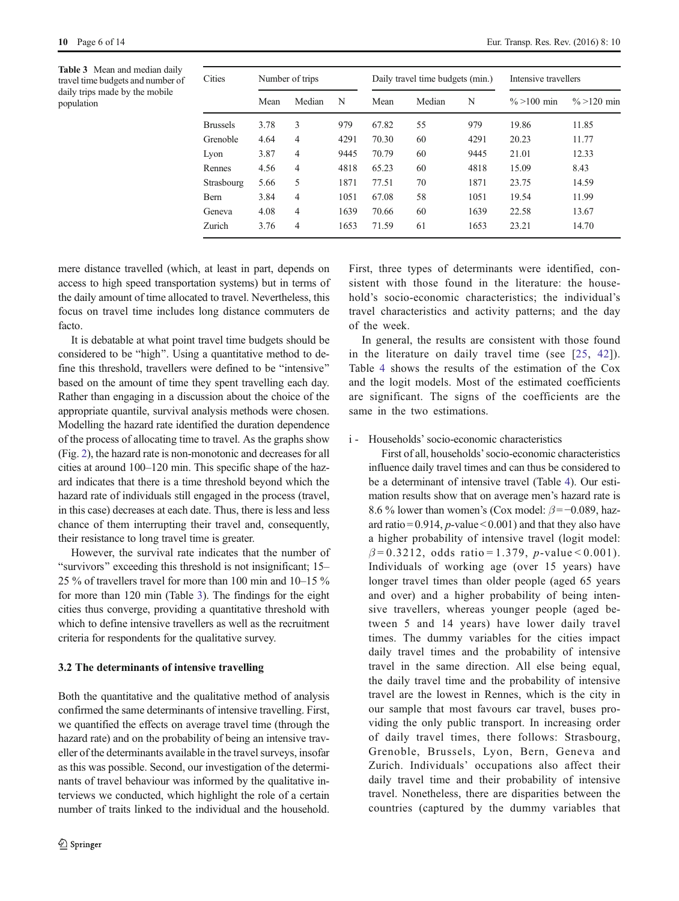<span id="page-5-0"></span>Table 3 Mean and median daily travel time budgets and number of daily trips made by the mobile population

| Cities          | Number of trips |                |      | Daily travel time budgets (min.) |        |      | Intensive travellers |                |
|-----------------|-----------------|----------------|------|----------------------------------|--------|------|----------------------|----------------|
|                 | Mean            | Median         | N    | Mean                             | Median | N    | $\% > 100$ min       | $\% > 120$ min |
| <b>Brussels</b> | 3.78            | 3              | 979  | 67.82                            | 55     | 979  | 19.86                | 11.85          |
| Grenoble        | 4.64            | $\overline{4}$ | 4291 | 70.30                            | 60     | 4291 | 20.23                | 11.77          |
| Lyon            | 3.87            | 4              | 9445 | 70.79                            | 60     | 9445 | 21.01                | 12.33          |
| Rennes          | 4.56            | 4              | 4818 | 65.23                            | 60     | 4818 | 15.09                | 8.43           |
| Strasbourg      | 5.66            | 5              | 1871 | 77.51                            | 70     | 1871 | 23.75                | 14.59          |
| Bern            | 3.84            | $\overline{4}$ | 1051 | 67.08                            | 58     | 1051 | 19.54                | 11.99          |
| Geneva          | 4.08            | $\overline{4}$ | 1639 | 70.66                            | 60     | 1639 | 22.58                | 13.67          |
| Zurich          | 3.76            | 4              | 1653 | 71.59                            | 61     | 1653 | 23.21                | 14.70          |
|                 |                 |                |      |                                  |        |      |                      |                |

mere distance travelled (which, at least in part, depends on access to high speed transportation systems) but in terms of the daily amount of time allocated to travel. Nevertheless, this focus on travel time includes long distance commuters de

facto. It is debatable at what point travel time budgets should be considered to be "high". Using a quantitative method to define this threshold, travellers were defined to be "intensive" based on the amount of time they spent travelling each day. Rather than engaging in a discussion about the choice of the appropriate quantile, survival analysis methods were chosen. Modelling the hazard rate identified the duration dependence of the process of allocating time to travel. As the graphs show (Fig. [2](#page-6-0)), the hazard rate is non-monotonic and decreases for all cities at around 100–120 min. This specific shape of the hazard indicates that there is a time threshold beyond which the hazard rate of individuals still engaged in the process (travel, in this case) decreases at each date. Thus, there is less and less chance of them interrupting their travel and, consequently, their resistance to long travel time is greater.

However, the survival rate indicates that the number of "survivors" exceeding this threshold is not insignificant;  $15–$ 25 % of travellers travel for more than 100 min and 10–15 % for more than 120 min (Table 3). The findings for the eight cities thus converge, providing a quantitative threshold with which to define intensive travellers as well as the recruitment criteria for respondents for the qualitative survey.

#### 3.2 The determinants of intensive travelling

Both the quantitative and the qualitative method of analysis confirmed the same determinants of intensive travelling. First, we quantified the effects on average travel time (through the hazard rate) and on the probability of being an intensive traveller of the determinants available in the travel surveys, insofar as this was possible. Second, our investigation of the determinants of travel behaviour was informed by the qualitative interviews we conducted, which highlight the role of a certain number of traits linked to the individual and the household. First, three types of determinants were identified, consistent with those found in the literature: the household's socio-economic characteristics; the individual's travel characteristics and activity patterns; and the day of the week.

In general, the results are consistent with those found in the literature on daily travel time (see [\[25,](#page-12-0) [42\]](#page-12-0)). Table [4](#page-7-0) shows the results of the estimation of the Cox and the logit models. Most of the estimated coefficients are significant. The signs of the coefficients are the same in the two estimations.

# i - Households' socio-economic characteristics

First of all, households'socio-economic characteristics influence daily travel times and can thus be considered to be a determinant of intensive travel (Table [4](#page-7-0)). Our estimation results show that on average men's hazard rate is 8.6 % lower than women's (Cox model:  $\beta$ =−0.089, hazard ratio =  $0.914$ , *p*-value < 0.001) and that they also have a higher probability of intensive travel (logit model:  $\beta = 0.3212$ , odds ratio = 1.379, p-value < 0.001). Individuals of working age (over 15 years) have longer travel times than older people (aged 65 years and over) and a higher probability of being intensive travellers, whereas younger people (aged between 5 and 14 years) have lower daily travel times. The dummy variables for the cities impact daily travel times and the probability of intensive travel in the same direction. All else being equal, the daily travel time and the probability of intensive travel are the lowest in Rennes, which is the city in our sample that most favours car travel, buses providing the only public transport. In increasing order of daily travel times, there follows: Strasbourg, Grenoble, Brussels, Lyon, Bern, Geneva and Zurich. Individuals' occupations also affect their daily travel time and their probability of intensive travel. Nonetheless, there are disparities between the countries (captured by the dummy variables that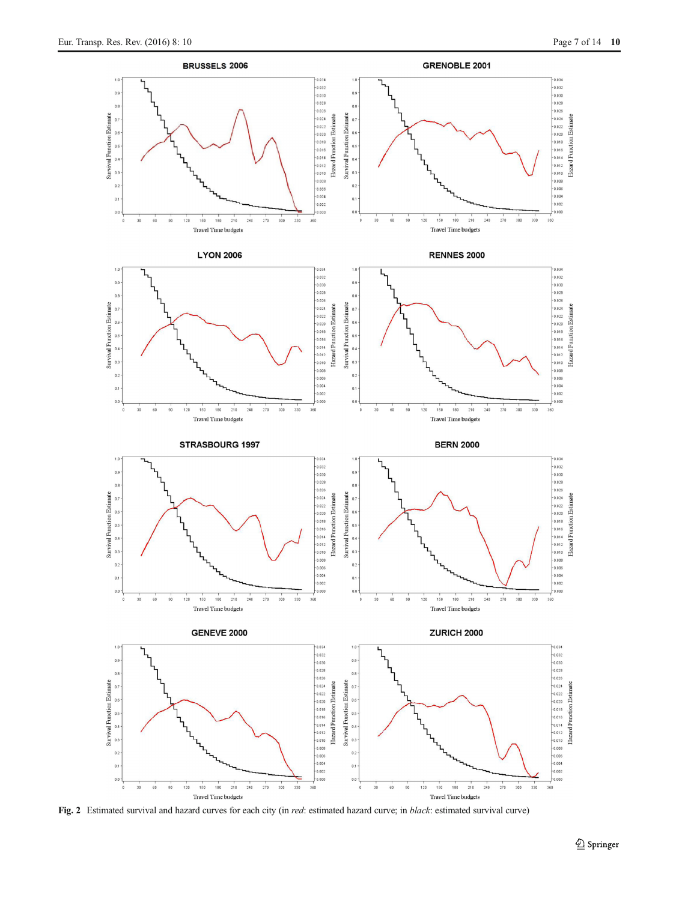<span id="page-6-0"></span>

Fig. 2 Estimated survival and hazard curves for each city (in red: estimated hazard curve; in black: estimated survival curve)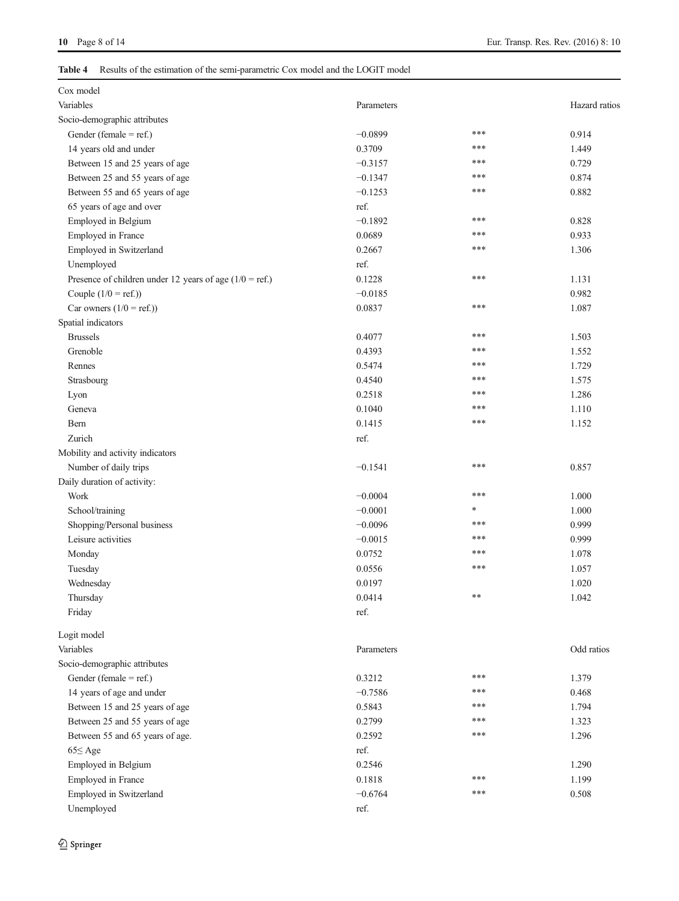# <span id="page-7-0"></span>Table 4 Results of the estimation of the semi-parametric Cox model and the LOGIT model

| Cox model                                                 |            |        |               |
|-----------------------------------------------------------|------------|--------|---------------|
| Variables                                                 | Parameters |        | Hazard ratios |
| Socio-demographic attributes                              |            |        |               |
| Gender (female = $ref.$ )                                 | $-0.0899$  | ***    | 0.914         |
| 14 years old and under                                    | 0.3709     | ***    | 1.449         |
| Between 15 and 25 years of age                            | $-0.3157$  | ***    | 0.729         |
| Between 25 and 55 years of age                            | $-0.1347$  | ***    | 0.874         |
| Between 55 and 65 years of age                            | $-0.1253$  | ***    | 0.882         |
| 65 years of age and over                                  | ref.       |        |               |
| Employed in Belgium                                       | $-0.1892$  | ***    | 0.828         |
| Employed in France                                        | 0.0689     | ***    | 0.933         |
| Employed in Switzerland                                   | 0.2667     | ***    | 1.306         |
| Unemployed                                                | ref.       |        |               |
| Presence of children under 12 years of age $(1/0 = ref.)$ | 0.1228     | ***    | 1.131         |
| Couple $(1/0 = ref.)$                                     | $-0.0185$  |        | 0.982         |
| Car owners $(1/0 = ref.$ )                                | 0.0837     | ***    | 1.087         |
| Spatial indicators                                        |            |        |               |
| <b>Brussels</b>                                           | 0.4077     | ***    | 1.503         |
| Grenoble                                                  | 0.4393     | ***    | 1.552         |
| Rennes                                                    | 0.5474     | ***    | 1.729         |
| Strasbourg                                                | 0.4540     | ***    | 1.575         |
| Lyon                                                      | 0.2518     | ***    | 1.286         |
| Geneva                                                    | 0.1040     | ***    | 1.110         |
| Bern                                                      | 0.1415     | ***    | 1.152         |
| Zurich                                                    | ref.       |        |               |
| Mobility and activity indicators                          |            |        |               |
| Number of daily trips                                     | $-0.1541$  | ***    | 0.857         |
| Daily duration of activity:                               |            |        |               |
| Work                                                      | $-0.0004$  | ***    | 1.000         |
| School/training                                           | $-0.0001$  | $\ast$ | 1.000         |
| Shopping/Personal business                                | $-0.0096$  | ***    | 0.999         |
| Leisure activities                                        | $-0.0015$  | ***    | 0.999         |
| Monday                                                    | 0.0752     | ***    | 1.078         |
| Tuesday                                                   | 0.0556     | ***    | 1.057         |
| Wednesday                                                 | 0.0197     |        | 1.020         |
| Thursday                                                  | 0.0414     | **     | 1.042         |
| Friday                                                    | ref.       |        |               |
| Logit model                                               |            |        |               |
| Variables                                                 | Parameters |        | Odd ratios    |
| Socio-demographic attributes                              |            |        |               |
| Gender (female = $ref.$ )                                 | 0.3212     | ***    | 1.379         |
| 14 years of age and under                                 | $-0.7586$  | ***    | 0.468         |
| Between 15 and 25 years of age                            | 0.5843     | ***    | 1.794         |
| Between 25 and 55 years of age                            | 0.2799     | ***    | 1.323         |
| Between 55 and 65 years of age.                           | 0.2592     | ***    | 1.296         |
| $65 \leq Age$                                             | ref.       |        |               |
| Employed in Belgium                                       | 0.2546     |        | 1.290         |
| Employed in France                                        | 0.1818     | ***    | 1.199         |
| Employed in Switzerland                                   | $-0.6764$  | ***    | 0.508         |
| Unemployed                                                | ref.       |        |               |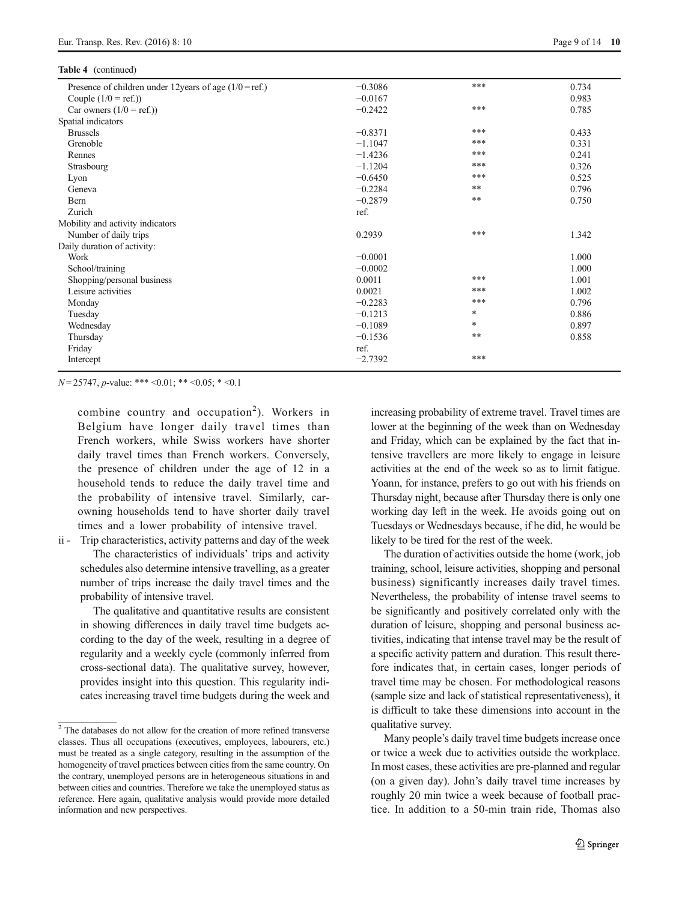| Table 4 (continued)                                       |           |      |       |
|-----------------------------------------------------------|-----------|------|-------|
| Presence of children under 12 years of age $(1/0 = ref.)$ | $-0.3086$ | ***  | 0.734 |
| Couple $(1/0 = ref.$ )                                    | $-0.0167$ |      | 0.983 |
| Car owners $(1/0 = ref.$ )                                | $-0.2422$ | ***  | 0.785 |
| Spatial indicators                                        |           |      |       |
| <b>Brussels</b>                                           | $-0.8371$ | ***  | 0.433 |
| Grenoble                                                  | $-1.1047$ | ***  | 0.331 |
| Rennes                                                    | $-1.4236$ | ***  | 0.241 |
| Strasbourg                                                | $-1.1204$ | ***  | 0.326 |
| Lyon                                                      | $-0.6450$ | ***  | 0.525 |
| Geneva                                                    | $-0.2284$ | **   | 0.796 |
| Bern                                                      | $-0.2879$ | $**$ | 0.750 |
| Zurich                                                    | ref.      |      |       |
| Mobility and activity indicators                          |           |      |       |
| Number of daily trips                                     | 0.2939    | ***  | 1.342 |
| Daily duration of activity:                               |           |      |       |
| Work                                                      | $-0.0001$ |      | 1.000 |
| School/training                                           | $-0.0002$ |      | 1.000 |
| Shopping/personal business                                | 0.0011    | ***  | 1.001 |
| Leisure activities                                        | 0.0021    | ***  | 1.002 |
| Monday                                                    | $-0.2283$ | ***  | 0.796 |
| Tuesday                                                   | $-0.1213$ | *    | 0.886 |
| Wednesday                                                 | $-0.1089$ | $*$  | 0.897 |
| Thursday                                                  | $-0.1536$ | $**$ | 0.858 |
| Friday                                                    | ref.      |      |       |
| Intercept                                                 | $-2.7392$ | ***  |       |
|                                                           |           |      |       |

 $N= 25747$ , *p*-value: \*\*\* <0.01; \*\* <0.05; \* <0.1

combine country and occupation<sup>2</sup>). Workers in Belgium have longer daily travel times than French workers, while Swiss workers have shorter daily travel times than French workers. Conversely, the presence of children under the age of 12 in a household tends to reduce the daily travel time and the probability of intensive travel. Similarly, carowning households tend to have shorter daily travel times and a lower probability of intensive travel.

ii - Trip characteristics, activity patterns and day of the week The characteristics of individuals' trips and activity schedules also determine intensive travelling, as a greater number of trips increase the daily travel times and the probability of intensive travel.

The qualitative and quantitative results are consistent in showing differences in daily travel time budgets according to the day of the week, resulting in a degree of regularity and a weekly cycle (commonly inferred from cross-sectional data). The qualitative survey, however, provides insight into this question. This regularity indicates increasing travel time budgets during the week and

increasing probability of extreme travel. Travel times are lower at the beginning of the week than on Wednesday and Friday, which can be explained by the fact that intensive travellers are more likely to engage in leisure activities at the end of the week so as to limit fatigue. Yoann, for instance, prefers to go out with his friends on Thursday night, because after Thursday there is only one working day left in the week. He avoids going out on Tuesdays or Wednesdays because, if he did, he would be likely to be tired for the rest of the week.

The duration of activities outside the home (work, job training, school, leisure activities, shopping and personal business) significantly increases daily travel times. Nevertheless, the probability of intense travel seems to be significantly and positively correlated only with the duration of leisure, shopping and personal business activities, indicating that intense travel may be the result of a specific activity pattern and duration. This result therefore indicates that, in certain cases, longer periods of travel time may be chosen. For methodological reasons (sample size and lack of statistical representativeness), it is difficult to take these dimensions into account in the qualitative survey.

Many people's daily travel time budgets increase once or twice a week due to activities outside the workplace. In most cases, these activities are pre-planned and regular (on a given day). John's daily travel time increases by roughly 20 min twice a week because of football practice. In addition to a 50-min train ride, Thomas also

<sup>&</sup>lt;sup>2</sup> The databases do not allow for the creation of more refined transverse classes. Thus all occupations (executives, employees, labourers, etc.) must be treated as a single category, resulting in the assumption of the homogeneity of travel practices between cities from the same country. On the contrary, unemployed persons are in heterogeneous situations in and between cities and countries. Therefore we take the unemployed status as reference. Here again, qualitative analysis would provide more detailed information and new perspectives.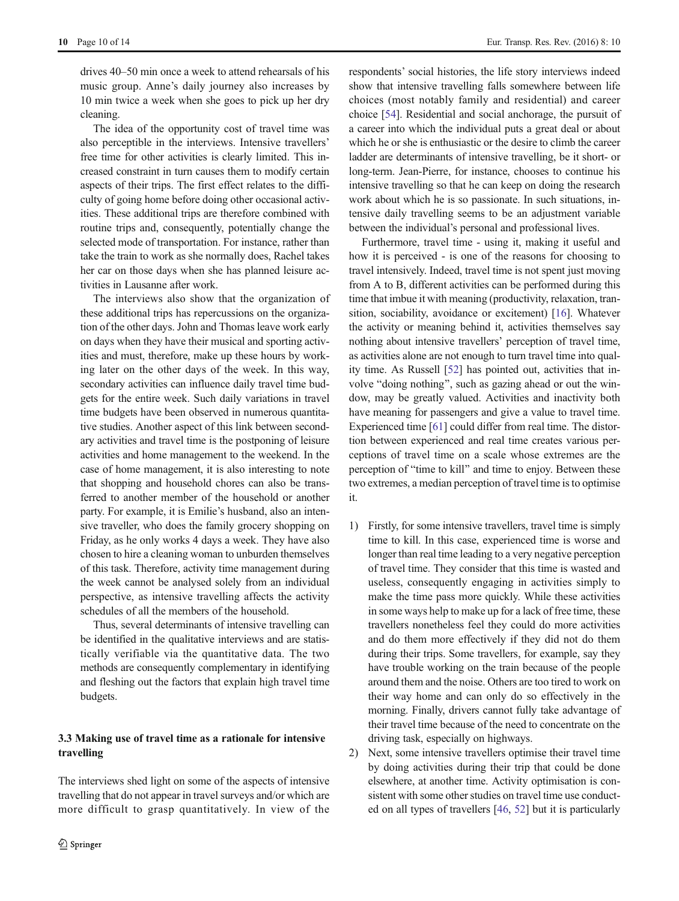drives 40–50 min once a week to attend rehearsals of his music group. Anne's daily journey also increases by 10 min twice a week when she goes to pick up her dry cleaning.

The idea of the opportunity cost of travel time was also perceptible in the interviews. Intensive travellers' free time for other activities is clearly limited. This increased constraint in turn causes them to modify certain aspects of their trips. The first effect relates to the difficulty of going home before doing other occasional activities. These additional trips are therefore combined with routine trips and, consequently, potentially change the selected mode of transportation. For instance, rather than take the train to work as she normally does, Rachel takes her car on those days when she has planned leisure activities in Lausanne after work.

The interviews also show that the organization of these additional trips has repercussions on the organization of the other days. John and Thomas leave work early on days when they have their musical and sporting activities and must, therefore, make up these hours by working later on the other days of the week. In this way, secondary activities can influence daily travel time budgets for the entire week. Such daily variations in travel time budgets have been observed in numerous quantitative studies. Another aspect of this link between secondary activities and travel time is the postponing of leisure activities and home management to the weekend. In the case of home management, it is also interesting to note that shopping and household chores can also be transferred to another member of the household or another party. For example, it is Emilie's husband, also an intensive traveller, who does the family grocery shopping on Friday, as he only works 4 days a week. They have also chosen to hire a cleaning woman to unburden themselves of this task. Therefore, activity time management during the week cannot be analysed solely from an individual perspective, as intensive travelling affects the activity schedules of all the members of the household.

Thus, several determinants of intensive travelling can be identified in the qualitative interviews and are statistically verifiable via the quantitative data. The two methods are consequently complementary in identifying and fleshing out the factors that explain high travel time budgets.

# 3.3 Making use of travel time as a rationale for intensive travelling

The interviews shed light on some of the aspects of intensive travelling that do not appear in travel surveys and/or which are more difficult to grasp quantitatively. In view of the respondents' social histories, the life story interviews indeed show that intensive travelling falls somewhere between life choices (most notably family and residential) and career choice [[54](#page-13-0)]. Residential and social anchorage, the pursuit of a career into which the individual puts a great deal or about which he or she is enthusiastic or the desire to climb the career ladder are determinants of intensive travelling, be it short- or long-term. Jean-Pierre, for instance, chooses to continue his intensive travelling so that he can keep on doing the research work about which he is so passionate. In such situations, intensive daily travelling seems to be an adjustment variable between the individual's personal and professional lives.

Furthermore, travel time - using it, making it useful and how it is perceived - is one of the reasons for choosing to travel intensively. Indeed, travel time is not spent just moving from A to B, different activities can be performed during this time that imbue it with meaning (productivity, relaxation, transition, sociability, avoidance or excitement) [\[16](#page-12-0)]. Whatever the activity or meaning behind it, activities themselves say nothing about intensive travellers' perception of travel time, as activities alone are not enough to turn travel time into quality time. As Russell [[52\]](#page-13-0) has pointed out, activities that involve "doing nothing", such as gazing ahead or out the window, may be greatly valued. Activities and inactivity both have meaning for passengers and give a value to travel time. Experienced time [\[61](#page-13-0)] could differ from real time. The distortion between experienced and real time creates various perceptions of travel time on a scale whose extremes are the perception of "time to kill" and time to enjoy. Between these two extremes, a median perception of travel time is to optimise it.

- 1) Firstly, for some intensive travellers, travel time is simply time to kill. In this case, experienced time is worse and longer than real time leading to a very negative perception of travel time. They consider that this time is wasted and useless, consequently engaging in activities simply to make the time pass more quickly. While these activities in some ways help to make up for a lack of free time, these travellers nonetheless feel they could do more activities and do them more effectively if they did not do them during their trips. Some travellers, for example, say they have trouble working on the train because of the people around them and the noise. Others are too tired to work on their way home and can only do so effectively in the morning. Finally, drivers cannot fully take advantage of their travel time because of the need to concentrate on the driving task, especially on highways.
- 2) Next, some intensive travellers optimise their travel time by doing activities during their trip that could be done elsewhere, at another time. Activity optimisation is consistent with some other studies on travel time use conducted on all types of travellers [\[46,](#page-12-0) [52](#page-13-0)] but it is particularly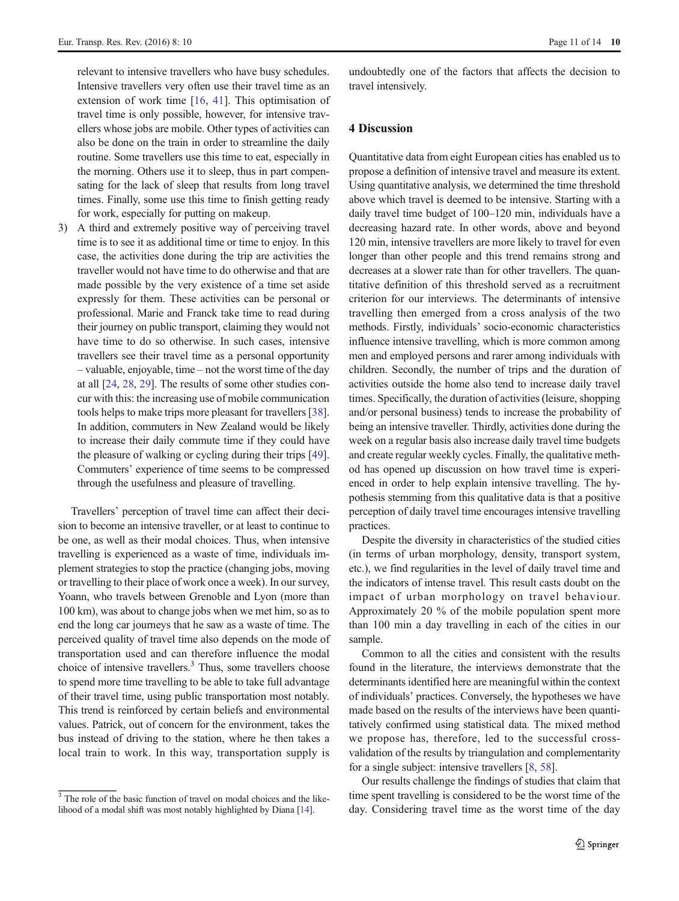relevant to intensive travellers who have busy schedules. Intensive travellers very often use their travel time as an extension of work time [\[16](#page-12-0), [41\]](#page-12-0). This optimisation of travel time is only possible, however, for intensive travellers whose jobs are mobile. Other types of activities can also be done on the train in order to streamline the daily routine. Some travellers use this time to eat, especially in the morning. Others use it to sleep, thus in part compensating for the lack of sleep that results from long travel times. Finally, some use this time to finish getting ready for work, especially for putting on makeup.

3) A third and extremely positive way of perceiving travel time is to see it as additional time or time to enjoy. In this case, the activities done during the trip are activities the traveller would not have time to do otherwise and that are made possible by the very existence of a time set aside expressly for them. These activities can be personal or professional. Marie and Franck take time to read during their journey on public transport, claiming they would not have time to do so otherwise. In such cases, intensive travellers see their travel time as a personal opportunity – valuable, enjoyable, time – not the worst time of the day at all [[24,](#page-12-0) [28](#page-12-0), [29](#page-12-0)]. The results of some other studies concur with this: the increasing use of mobile communication tools helps to make trips more pleasant for travellers [[38\]](#page-12-0). In addition, commuters in New Zealand would be likely to increase their daily commute time if they could have the pleasure of walking or cycling during their trips [[49\]](#page-12-0). Commuters' experience of time seems to be compressed through the usefulness and pleasure of travelling.

Travellers' perception of travel time can affect their decision to become an intensive traveller, or at least to continue to be one, as well as their modal choices. Thus, when intensive travelling is experienced as a waste of time, individuals implement strategies to stop the practice (changing jobs, moving or travelling to their place of work once a week). In our survey, Yoann, who travels between Grenoble and Lyon (more than 100 km), was about to change jobs when we met him, so as to end the long car journeys that he saw as a waste of time. The perceived quality of travel time also depends on the mode of transportation used and can therefore influence the modal choice of intensive travellers.<sup>3</sup> Thus, some travellers choose to spend more time travelling to be able to take full advantage of their travel time, using public transportation most notably. This trend is reinforced by certain beliefs and environmental values. Patrick, out of concern for the environment, takes the bus instead of driving to the station, where he then takes a local train to work. In this way, transportation supply is

undoubtedly one of the factors that affects the decision to travel intensively.

## 4 Discussion

Quantitative data from eight European cities has enabled us to propose a definition of intensive travel and measure its extent. Using quantitative analysis, we determined the time threshold above which travel is deemed to be intensive. Starting with a daily travel time budget of 100–120 min, individuals have a decreasing hazard rate. In other words, above and beyond 120 min, intensive travellers are more likely to travel for even longer than other people and this trend remains strong and decreases at a slower rate than for other travellers. The quantitative definition of this threshold served as a recruitment criterion for our interviews. The determinants of intensive travelling then emerged from a cross analysis of the two methods. Firstly, individuals' socio-economic characteristics influence intensive travelling, which is more common among men and employed persons and rarer among individuals with children. Secondly, the number of trips and the duration of activities outside the home also tend to increase daily travel times. Specifically, the duration of activities (leisure, shopping and/or personal business) tends to increase the probability of being an intensive traveller. Thirdly, activities done during the week on a regular basis also increase daily travel time budgets and create regular weekly cycles. Finally, the qualitative method has opened up discussion on how travel time is experienced in order to help explain intensive travelling. The hypothesis stemming from this qualitative data is that a positive perception of daily travel time encourages intensive travelling practices.

Despite the diversity in characteristics of the studied cities (in terms of urban morphology, density, transport system, etc.), we find regularities in the level of daily travel time and the indicators of intense travel. This result casts doubt on the impact of urban morphology on travel behaviour. Approximately 20 % of the mobile population spent more than 100 min a day travelling in each of the cities in our sample.

Common to all the cities and consistent with the results found in the literature, the interviews demonstrate that the determinants identified here are meaningful within the context of individuals' practices. Conversely, the hypotheses we have made based on the results of the interviews have been quantitatively confirmed using statistical data. The mixed method we propose has, therefore, led to the successful crossvalidation of the results by triangulation and complementarity for a single subject: intensive travellers [\[8,](#page-12-0) [58\]](#page-13-0).

Our results challenge the findings of studies that claim that time spent travelling is considered to be the worst time of the day. Considering travel time as the worst time of the day

 $3$  The role of the basic function of travel on modal choices and the likelihood of a modal shift was most notably highlighted by Diana [\[14](#page-12-0)].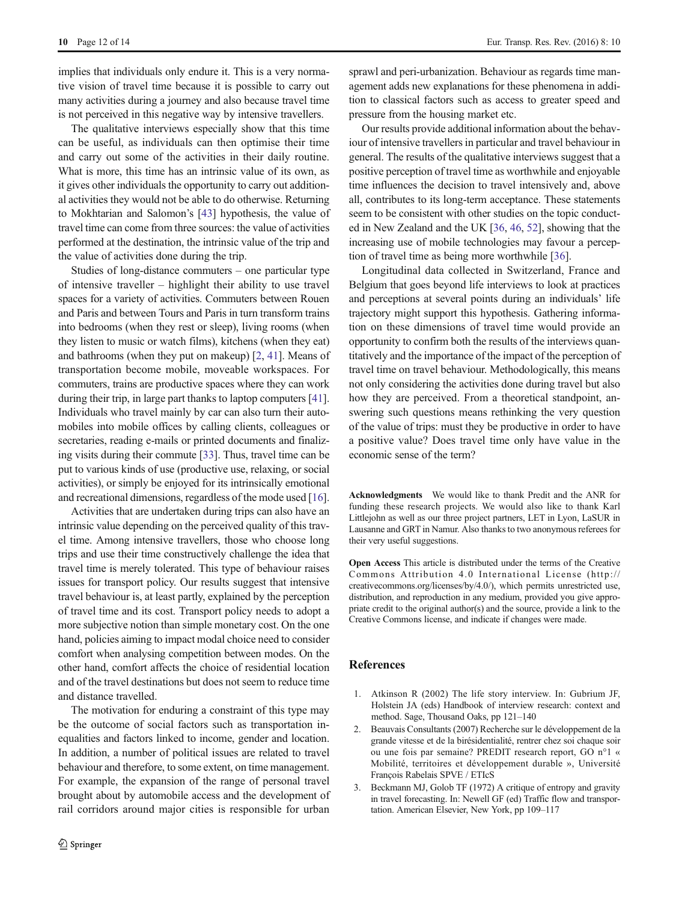<span id="page-11-0"></span>implies that individuals only endure it. This is a very normative vision of travel time because it is possible to carry out many activities during a journey and also because travel time is not perceived in this negative way by intensive travellers.

The qualitative interviews especially show that this time can be useful, as individuals can then optimise their time and carry out some of the activities in their daily routine. What is more, this time has an intrinsic value of its own, as it gives other individuals the opportunity to carry out additional activities they would not be able to do otherwise. Returning to Mokhtarian and Salomon's [[43](#page-12-0)] hypothesis, the value of travel time can come from three sources: the value of activities performed at the destination, the intrinsic value of the trip and the value of activities done during the trip.

Studies of long-distance commuters – one particular type of intensive traveller – highlight their ability to use travel spaces for a variety of activities. Commuters between Rouen and Paris and between Tours and Paris in turn transform trains into bedrooms (when they rest or sleep), living rooms (when they listen to music or watch films), kitchens (when they eat) and bathrooms (when they put on makeup) [2, [41](#page-12-0)]. Means of transportation become mobile, moveable workspaces. For commuters, trains are productive spaces where they can work during their trip, in large part thanks to laptop computers [[41\]](#page-12-0). Individuals who travel mainly by car can also turn their automobiles into mobile offices by calling clients, colleagues or secretaries, reading e-mails or printed documents and finalizing visits during their commute [\[33\]](#page-12-0). Thus, travel time can be put to various kinds of use (productive use, relaxing, or social activities), or simply be enjoyed for its intrinsically emotional and recreational dimensions, regardless of the mode used [[16\]](#page-12-0).

Activities that are undertaken during trips can also have an intrinsic value depending on the perceived quality of this travel time. Among intensive travellers, those who choose long trips and use their time constructively challenge the idea that travel time is merely tolerated. This type of behaviour raises issues for transport policy. Our results suggest that intensive travel behaviour is, at least partly, explained by the perception of travel time and its cost. Transport policy needs to adopt a more subjective notion than simple monetary cost. On the one hand, policies aiming to impact modal choice need to consider comfort when analysing competition between modes. On the other hand, comfort affects the choice of residential location and of the travel destinations but does not seem to reduce time and distance travelled.

The motivation for enduring a constraint of this type may be the outcome of social factors such as transportation inequalities and factors linked to income, gender and location. In addition, a number of political issues are related to travel behaviour and therefore, to some extent, on time management. For example, the expansion of the range of personal travel brought about by automobile access and the development of rail corridors around major cities is responsible for urban

sprawl and peri-urbanization. Behaviour as regards time management adds new explanations for these phenomena in addition to classical factors such as access to greater speed and pressure from the housing market etc.

Our results provide additional information about the behaviour of intensive travellers in particular and travel behaviour in general. The results of the qualitative interviews suggest that a positive perception of travel time as worthwhile and enjoyable time influences the decision to travel intensively and, above all, contributes to its long-term acceptance. These statements seem to be consistent with other studies on the topic conducted in New Zealand and the UK [[36,](#page-12-0) [46](#page-12-0), [52](#page-13-0)], showing that the increasing use of mobile technologies may favour a perception of travel time as being more worthwhile [\[36\]](#page-12-0).

Longitudinal data collected in Switzerland, France and Belgium that goes beyond life interviews to look at practices and perceptions at several points during an individuals' life trajectory might support this hypothesis. Gathering information on these dimensions of travel time would provide an opportunity to confirm both the results of the interviews quantitatively and the importance of the impact of the perception of travel time on travel behaviour. Methodologically, this means not only considering the activities done during travel but also how they are perceived. From a theoretical standpoint, answering such questions means rethinking the very question of the value of trips: must they be productive in order to have a positive value? Does travel time only have value in the economic sense of the term?

Acknowledgments We would like to thank Predit and the ANR for funding these research projects. We would also like to thank Karl Littlejohn as well as our three project partners, LET in Lyon, LaSUR in Lausanne and GRT in Namur. Also thanks to two anonymous referees for their very useful suggestions.

Open Access This article is distributed under the terms of the Creative Commons Attribution 4.0 International License (http:// creativecommons.org/licenses/by/4.0/), which permits unrestricted use, distribution, and reproduction in any medium, provided you give appropriate credit to the original author(s) and the source, provide a link to the Creative Commons license, and indicate if changes were made.

#### References

- 1. Atkinson R (2002) The life story interview. In: Gubrium JF, Holstein JA (eds) Handbook of interview research: context and method. Sage, Thousand Oaks, pp 121–140
- 2. Beauvais Consultants (2007) Recherche sur le développement de la grande vitesse et de la birésidentialité, rentrer chez soi chaque soir ou une fois par semaine? PREDIT research report, GO n°1 « Mobilité, territoires et développement durable », Université François Rabelais SPVE / ETIcS
- 3. Beckmann MJ, Golob TF (1972) A critique of entropy and gravity in travel forecasting. In: Newell GF (ed) Traffic flow and transportation. American Elsevier, New York, pp 109–117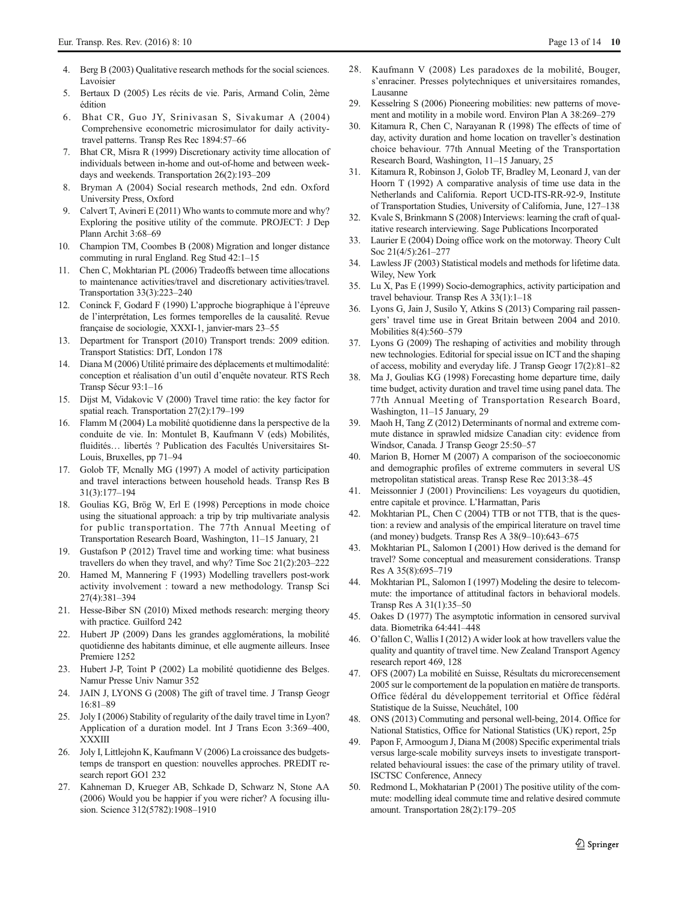- <span id="page-12-0"></span>4. Berg B (2003) Qualitative research methods for the social sciences. Lavoisier
- 5. Bertaux D (2005) Les récits de vie. Paris, Armand Colin, 2ème édition
- 6. Bhat CR, Guo JY, Srinivasan S, Sivakumar A (2004) Comprehensive econometric microsimulator for daily activitytravel patterns. Transp Res Rec 1894:57–66
- 7. Bhat CR, Misra R (1999) Discretionary activity time allocation of individuals between in-home and out-of-home and between weekdays and weekends. Transportation 26(2):193–209
- 8. Bryman A (2004) Social research methods, 2nd edn. Oxford University Press, Oxford
- 9. Calvert T, Avineri E (2011) Who wants to commute more and why? Exploring the positive utility of the commute. PROJECT: J Dep Plann Archit 3:68–69
- 10. Champion TM, Coombes B (2008) Migration and longer distance commuting in rural England. Reg Stud 42:1–15
- 11. Chen C, Mokhtarian PL (2006) Tradeoffs between time allocations to maintenance activities/travel and discretionary activities/travel. Transportation 33(3):223–240
- 12. Coninck F, Godard F (1990) L'approche biographique à l'épreuve de l'interprétation, Les formes temporelles de la causalité. Revue française de sociologie, XXXI-1, janvier-mars 23–55
- 13. Department for Transport (2010) Transport trends: 2009 edition. Transport Statistics: DfT, London 178
- 14. Diana M (2006) Utilité primaire des déplacements et multimodalité: conception et réalisation d'un outil d'enquête novateur. RTS Rech Transp Sécur 93:1–16
- 15. Dijst M, Vidakovic V (2000) Travel time ratio: the key factor for spatial reach. Transportation 27(2):179–199
- 16. Flamm M (2004) La mobilité quotidienne dans la perspective de la conduite de vie. In: Montulet B, Kaufmann V (eds) Mobilités, fluidités… libertés ? Publication des Facultés Universitaires St-Louis, Bruxelles, pp 71–94
- 17. Golob TF, Mcnally MG (1997) A model of activity participation and travel interactions between household heads. Transp Res B 31(3):177–194
- 18. Goulias KG, Brög W, Erl E (1998) Perceptions in mode choice using the situational approach: a trip by trip multivariate analysis for public transportation. The 77th Annual Meeting of Transportation Research Board, Washington, 11–15 January, 21
- 19. Gustafson P (2012) Travel time and working time: what business travellers do when they travel, and why? Time Soc 21(2):203–222
- 20. Hamed M, Mannering F (1993) Modelling travellers post-work activity involvement : toward a new methodology. Transp Sci 27(4):381–394
- 21. Hesse-Biber SN (2010) Mixed methods research: merging theory with practice. Guilford 242
- 22. Hubert JP (2009) Dans les grandes agglomérations, la mobilité quotidienne des habitants diminue, et elle augmente ailleurs. Insee Premiere 1252
- 23. Hubert J-P, Toint P (2002) La mobilité quotidienne des Belges. Namur Presse Univ Namur 352
- 24. JAIN J, LYONS G (2008) The gift of travel time. J Transp Geogr 16:81–89
- 25. Joly I (2006) Stability of regularity of the daily travel time in Lyon? Application of a duration model. Int J Trans Econ 3:369–400, XXXIII
- 26. Joly I, Littlejohn K, Kaufmann V (2006) La croissance des budgetstemps de transport en question: nouvelles approches. PREDIT research report GO1 232
- 27. Kahneman D, Krueger AB, Schkade D, Schwarz N, Stone AA (2006) Would you be happier if you were richer? A focusing illusion. Science 312(5782):1908–1910
- 28. Kaufmann V (2008) Les paradoxes de la mobilité, Bouger, s'enraciner. Presses polytechniques et universitaires romandes, Lausanne
- 29. Kesselring S (2006) Pioneering mobilities: new patterns of movement and motility in a mobile word. Environ Plan A 38:269–279
- 30. Kitamura R, Chen C, Narayanan R (1998) The effects of time of day, activity duration and home location on traveller's destination choice behaviour. 77th Annual Meeting of the Transportation Research Board, Washington, 11–15 January, 25
- 31. Kitamura R, Robinson J, Golob TF, Bradley M, Leonard J, van der Hoorn T (1992) A comparative analysis of time use data in the Netherlands and California. Report UCD-ITS-RR-92-9, Institute of Transportation Studies, University of California, June, 127–138
- 32. Kvale S, Brinkmann S (2008) Interviews: learning the craft of qualitative research interviewing. Sage Publications Incorporated
- 33. Laurier E (2004) Doing office work on the motorway. Theory Cult Soc 21(4/5):261–277
- 34. Lawless JF (2003) Statistical models and methods for lifetime data. Wiley, New York
- 35. Lu X, Pas E (1999) Socio-demographics, activity participation and travel behaviour. Transp Res A 33(1):1–18
- 36. Lyons G, Jain J, Susilo Y, Atkins S (2013) Comparing rail passengers' travel time use in Great Britain between 2004 and 2010. Mobilities 8(4):560–579
- 37. Lyons G (2009) The reshaping of activities and mobility through new technologies. Editorial for special issue on ICT and the shaping of access, mobility and everyday life. J Transp Geogr 17(2):81–82
- 38. Ma J, Goulias KG (1998) Forecasting home departure time, daily time budget, activity duration and travel time using panel data. The 77th Annual Meeting of Transportation Research Board, Washington, 11–15 January, 29
- 39. Maoh H, Tang Z (2012) Determinants of normal and extreme commute distance in sprawled midsize Canadian city: evidence from Windsor, Canada. J Transp Geogr 25:50–57
- 40. Marion B, Horner M (2007) A comparison of the socioeconomic and demographic profiles of extreme commuters in several US metropolitan statistical areas. Transp Rese Rec 2013:38–45
- 41. Meissonnier J (2001) Provinciliens: Les voyageurs du quotidien, entre capitale et province. L'Harmattan, Paris
- 42. Mokhtarian PL, Chen C (2004) TTB or not TTB, that is the question: a review and analysis of the empirical literature on travel time (and money) budgets. Transp Res A 38(9–10):643–675
- 43. Mokhtarian PL, Salomon I (2001) How derived is the demand for travel? Some conceptual and measurement considerations. Transp Res A 35(8):695–719
- 44. Mokhtarian PL, Salomon I (1997) Modeling the desire to telecommute: the importance of attitudinal factors in behavioral models. Transp Res A 31(1):35–50
- 45. Oakes D (1977) The asymptotic information in censored survival data. Biometrika 64:441–448
- 46. O'fallon C, Wallis I (2012) A wider look at how travellers value the quality and quantity of travel time. New Zealand Transport Agency research report 469, 128
- 47. OFS (2007) La mobilité en Suisse, Résultats du microrecensement 2005 sur le comportement de la population en matière de transports. Office fédéral du développement territorial et Office fédéral Statistique de la Suisse, Neuchâtel, 100
- 48. ONS (2013) Commuting and personal well-being, 2014. Office for National Statistics, Office for National Statistics (UK) report, 25p
- Papon F, Armoogum J, Diana M (2008) Specific experimental trials versus large-scale mobility surveys insets to investigate transportrelated behavioural issues: the case of the primary utility of travel. ISCTSC Conference, Annecy
- 50. Redmond L, Mokhatarian P (2001) The positive utility of the commute: modelling ideal commute time and relative desired commute amount. Transportation 28(2):179–205